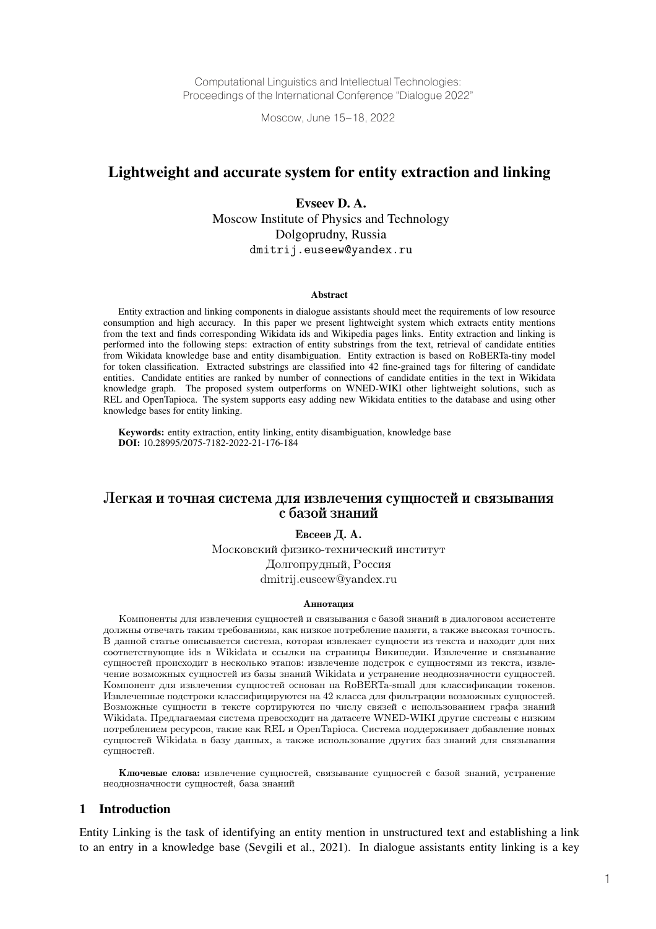Computational Linguistics and Intellectual Technologies: Proceedings of the International Conference "Dialogue 2022"

Moscow, June 15–18, 2022

# Lightweight and accurate system for entity extraction and linking

Evseev D. A. Moscow Institute of Physics and Technology Dolgoprudny, Russia dmitrij.euseew@yandex.ru

#### Abstract

Entity extraction and linking components in dialogue assistants should meet the requirements of low resource consumption and high accuracy. In this paper we present lightweight system which extracts entity mentions from the text and finds corresponding Wikidata ids and Wikipedia pages links. Entity extraction and linking is performed into the following steps: extraction of entity substrings from the text, retrieval of candidate entities from Wikidata knowledge base and entity disambiguation. Entity extraction is based on RoBERTa-tiny model for token classification. Extracted substrings are classified into 42 fine-grained tags for filtering of candidate entities. Candidate entities are ranked by number of connections of candidate entities in the text in Wikidata knowledge graph. The proposed system outperforms on WNED-WIKI other lightweight solutions, such as REL and OpenTapioca. The system supports easy adding new Wikidata entities to the database and using other knowledge bases for entity linking.

Keywords: entity extraction, entity linking, entity disambiguation, knowledge base DOI: 10.28995/2075-7182-2022-21-176-184

# Легкая и точная система для извлечения сущностей и связывания с базой знаний

Евсеев Д. А.

Московский физико-технический институт Долгопрудный, Россия dmitrij.euseew@yandex.ru

#### Аннотация

Компоненты для извлечения сущностей и связывания с базой знаний в диалоговом ассистенте должны отвечать таким требованиям, как низкое потребление памяти, а также высокая точность. В данной статье описывается система, которая извлекает сущности из текста и находит для них соответствующие ids в Wikidata и ссылки на страницы Википедии. Извлечение и связывание сущностей происходит в несколько этапов: извлечение подстрок с сущностями из текста, извлечение возможных сущностей из базы знаний Wikidata и устранение неоднозначности сущностей. Компонент для извлечения сущностей основан на RoBERTa-small для классификации токенов. Извлеченные подстроки классифицируются на 42 класса для фильтрации возможных сущностей. Возможные сущности в тексте сортируются по числу связей с использованием графа знаний Wikidata. Предлагаемая система превосходит на датасете WNED-WIKI другие системы с низким потреблением ресурсов, такие как REL и OpenTapioca. Система поддерживает добавление новых сущностей Wikidata в базу данных, а также использование других баз знаний для связывания сущностей.

Ключевые слова: извлечение сущностей, связывание сущностей с базой знаний, устранение неоднозначности сущностей, база знаний

#### 1 Introduction

Entity Linking is the task of identifying an entity mention in unstructured text and establishing a link to an entry in a knowledge base (Sevgili et al., 2021). In dialogue assistants entity linking is a key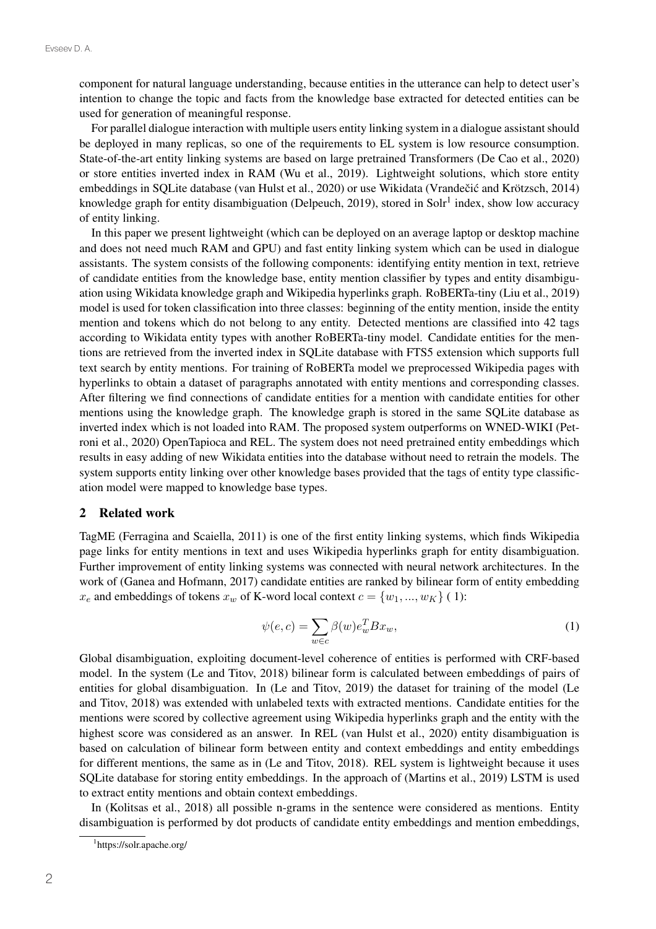component for natural language understanding, because entities in the utterance can help to detect user's intention to change the topic and facts from the knowledge base extracted for detected entities can be used for generation of meaningful response.

For parallel dialogue interaction with multiple users entity linking system in a dialogue assistant should be deployed in many replicas, so one of the requirements to EL system is low resource consumption. State-of-the-art entity linking systems are based on large pretrained Transformers (De Cao et al., 2020) or store entities inverted index in RAM (Wu et al., 2019). Lightweight solutions, which store entity embeddings in SOLite database (van Hulst et al., 2020) or use Wikidata (Vrandečić and Krötzsch, 2014) knowledge graph for entity disambiguation (Delpeuch, 2019), stored in Sol $r^1$  index, show low accuracy of entity linking.

In this paper we present lightweight (which can be deployed on an average laptop or desktop machine and does not need much RAM and GPU) and fast entity linking system which can be used in dialogue assistants. The system consists of the following components: identifying entity mention in text, retrieve of candidate entities from the knowledge base, entity mention classifier by types and entity disambiguation using Wikidata knowledge graph and Wikipedia hyperlinks graph. RoBERTa-tiny (Liu et al., 2019) model is used for token classification into three classes: beginning of the entity mention, inside the entity mention and tokens which do not belong to any entity. Detected mentions are classified into 42 tags according to Wikidata entity types with another RoBERTa-tiny model. Candidate entities for the mentions are retrieved from the inverted index in SQLite database with FTS5 extension which supports full text search by entity mentions. For training of RoBERTa model we preprocessed Wikipedia pages with hyperlinks to obtain a dataset of paragraphs annotated with entity mentions and corresponding classes. After filtering we find connections of candidate entities for a mention with candidate entities for other mentions using the knowledge graph. The knowledge graph is stored in the same SQLite database as inverted index which is not loaded into RAM. The proposed system outperforms on WNED-WIKI (Petroni et al., 2020) OpenTapioca and REL. The system does not need pretrained entity embeddings which results in easy adding of new Wikidata entities into the database without need to retrain the models. The system supports entity linking over other knowledge bases provided that the tags of entity type classification model were mapped to knowledge base types.

# 2 Related work

TagME (Ferragina and Scaiella, 2011) is one of the first entity linking systems, which finds Wikipedia page links for entity mentions in text and uses Wikipedia hyperlinks graph for entity disambiguation. Further improvement of entity linking systems was connected with neural network architectures. In the work of (Ganea and Hofmann, 2017) candidate entities are ranked by bilinear form of entity embedding  $x_e$  and embeddings of tokens  $x_w$  of K-word local context  $c = \{w_1, ..., w_K\}$  (1):

$$
\psi(e,c) = \sum_{w \in c} \beta(w) e_w^T B x_w,\tag{1}
$$

Global disambiguation, exploiting document-level coherence of entities is performed with CRF-based model. In the system (Le and Titov, 2018) bilinear form is calculated between embeddings of pairs of entities for global disambiguation. In (Le and Titov, 2019) the dataset for training of the model (Le and Titov, 2018) was extended with unlabeled texts with extracted mentions. Candidate entities for the mentions were scored by collective agreement using Wikipedia hyperlinks graph and the entity with the highest score was considered as an answer. In REL (van Hulst et al., 2020) entity disambiguation is based on calculation of bilinear form between entity and context embeddings and entity embeddings for different mentions, the same as in (Le and Titov, 2018). REL system is lightweight because it uses SQLite database for storing entity embeddings. In the approach of (Martins et al., 2019) LSTM is used to extract entity mentions and obtain context embeddings.

In (Kolitsas et al., 2018) all possible n-grams in the sentence were considered as mentions. Entity disambiguation is performed by dot products of candidate entity embeddings and mention embeddings,

<sup>1</sup> https://solr.apache.org/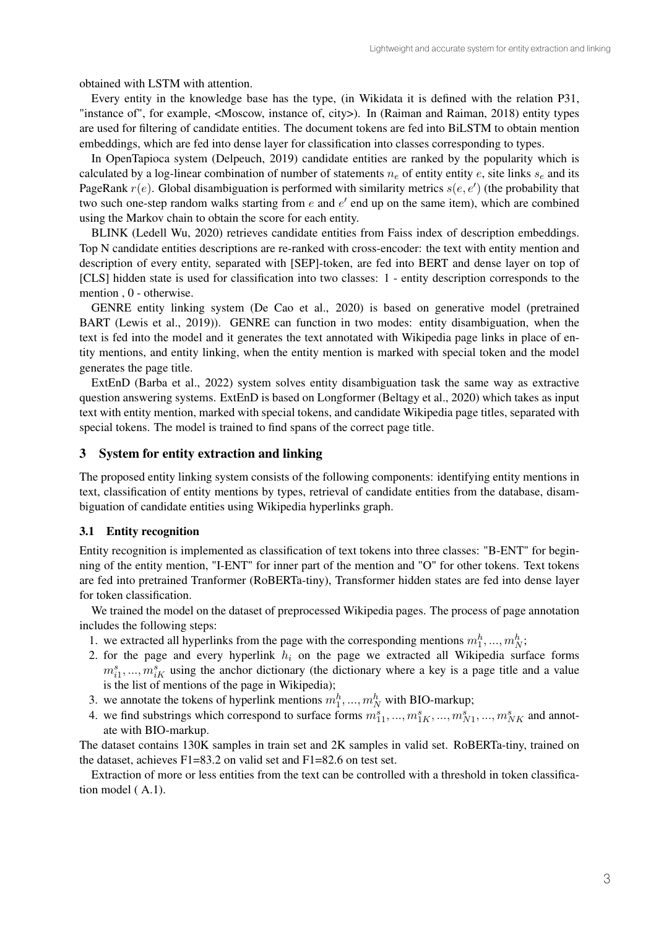obtained with LSTM with attention.

Every entity in the knowledge base has the type, (in Wikidata it is defined with the relation P31, "instance of", for example, <Moscow, instance of, city>). In (Raiman and Raiman, 2018) entity types are used for filtering of candidate entities. The document tokens are fed into BiLSTM to obtain mention embeddings, which are fed into dense layer for classification into classes corresponding to types.

In OpenTapioca system (Delpeuch, 2019) candidate entities are ranked by the popularity which is calculated by a log-linear combination of number of statements  $n_e$  of entity entity e, site links  $s_e$  and its PageRank  $r(e)$ . Global disambiguation is performed with similarity metrics  $s(e, e')$  (the probability that two such one-step random walks starting from  $e$  and  $e'$  end up on the same item), which are combined using the Markov chain to obtain the score for each entity.

BLINK (Ledell Wu, 2020) retrieves candidate entities from Faiss index of description embeddings. Top N candidate entities descriptions are re-ranked with cross-encoder: the text with entity mention and description of every entity, separated with [SEP]-token, are fed into BERT and dense layer on top of [CLS] hidden state is used for classification into two classes: 1 - entity description corresponds to the mention , 0 - otherwise.

GENRE entity linking system (De Cao et al., 2020) is based on generative model (pretrained BART (Lewis et al., 2019)). GENRE can function in two modes: entity disambiguation, when the text is fed into the model and it generates the text annotated with Wikipedia page links in place of entity mentions, and entity linking, when the entity mention is marked with special token and the model generates the page title.

ExtEnD (Barba et al., 2022) system solves entity disambiguation task the same way as extractive question answering systems. ExtEnD is based on Longformer (Beltagy et al., 2020) which takes as input text with entity mention, marked with special tokens, and candidate Wikipedia page titles, separated with special tokens. The model is trained to find spans of the correct page title.

## 3 System for entity extraction and linking

The proposed entity linking system consists of the following components: identifying entity mentions in text, classification of entity mentions by types, retrieval of candidate entities from the database, disambiguation of candidate entities using Wikipedia hyperlinks graph.

### 3.1 Entity recognition

Entity recognition is implemented as classification of text tokens into three classes: "B-ENT" for beginning of the entity mention, "I-ENT" for inner part of the mention and "O" for other tokens. Text tokens are fed into pretrained Tranformer (RoBERTa-tiny), Transformer hidden states are fed into dense layer for token classification.

We trained the model on the dataset of preprocessed Wikipedia pages. The process of page annotation includes the following steps:

- 1. we extracted all hyperlinks from the page with the corresponding mentions  $m_1^h, ..., m_N^h$ ;
- 2. for the page and every hyperlink  $h_i$  on the page we extracted all Wikipedia surface forms  $m_{i1}^s, ..., m_{iK}^s$  using the anchor dictionary (the dictionary where a key is a page title and a value is the list of mentions of the page in Wikipedia);
- 3. we annotate the tokens of hyperlink mentions  $m_1^h, ..., m_N^h$  with BIO-markup;
- 4. we find substrings which correspond to surface forms  $m_{11}^s, ..., m_{1K}^s, ..., m_{N1}^s, ..., m_{NK}^s$  and annotate with BIO-markup.

The dataset contains 130K samples in train set and 2K samples in valid set. RoBERTa-tiny, trained on the dataset, achieves F1=83.2 on valid set and F1=82.6 on test set.

Extraction of more or less entities from the text can be controlled with a threshold in token classification model ( A.1).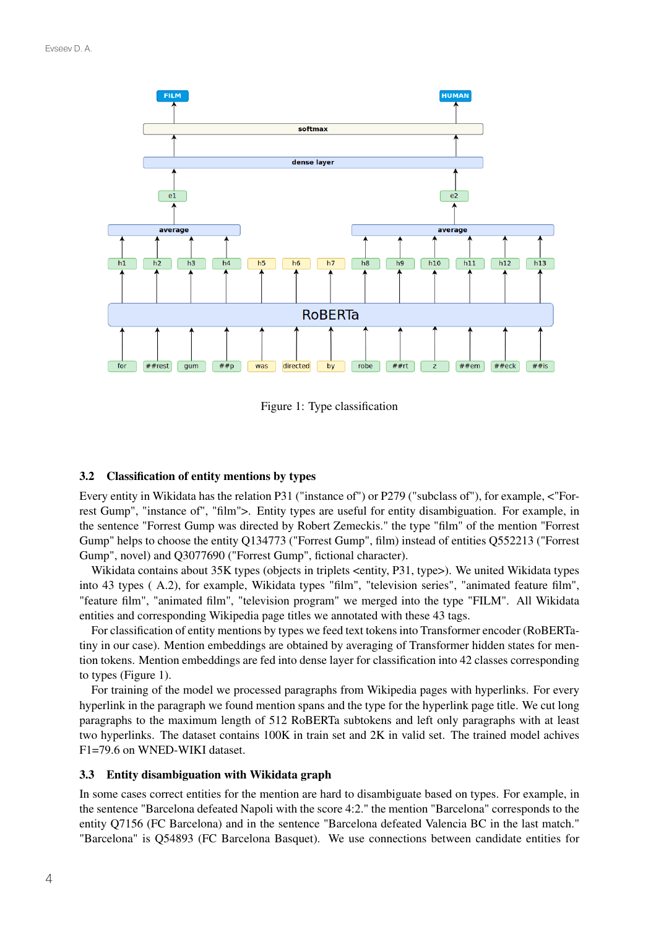

Figure 1: Type classification

# 3.2 Classification of entity mentions by types

Every entity in Wikidata has the relation P31 ("instance of") or P279 ("subclass of"), for example, <"Forrest Gump", "instance of", "film">. Entity types are useful for entity disambiguation. For example, in the sentence "Forrest Gump was directed by Robert Zemeckis." the type "film" of the mention "Forrest Gump" helps to choose the entity Q134773 ("Forrest Gump", film) instead of entities Q552213 ("Forrest Gump", novel) and Q3077690 ("Forrest Gump", fictional character).

Wikidata contains about 35K types (objects in triplets <entity, P31, type>). We united Wikidata types into 43 types ( A.2), for example, Wikidata types "film", "television series", "animated feature film", "feature film", "animated film", "television program" we merged into the type "FILM". All Wikidata entities and corresponding Wikipedia page titles we annotated with these 43 tags.

For classification of entity mentions by types we feed text tokens into Transformer encoder (RoBERTatiny in our case). Mention embeddings are obtained by averaging of Transformer hidden states for mention tokens. Mention embeddings are fed into dense layer for classification into 42 classes corresponding to types (Figure 1).

For training of the model we processed paragraphs from Wikipedia pages with hyperlinks. For every hyperlink in the paragraph we found mention spans and the type for the hyperlink page title. We cut long paragraphs to the maximum length of 512 RoBERTa subtokens and left only paragraphs with at least two hyperlinks. The dataset contains 100K in train set and 2K in valid set. The trained model achives F1=79.6 on WNED-WIKI dataset.

# 3.3 Entity disambiguation with Wikidata graph

In some cases correct entities for the mention are hard to disambiguate based on types. For example, in the sentence "Barcelona defeated Napoli with the score 4:2." the mention "Barcelona" corresponds to the entity Q7156 (FC Barcelona) and in the sentence "Barcelona defeated Valencia BC in the last match." "Barcelona" is Q54893 (FC Barcelona Basquet). We use connections between candidate entities for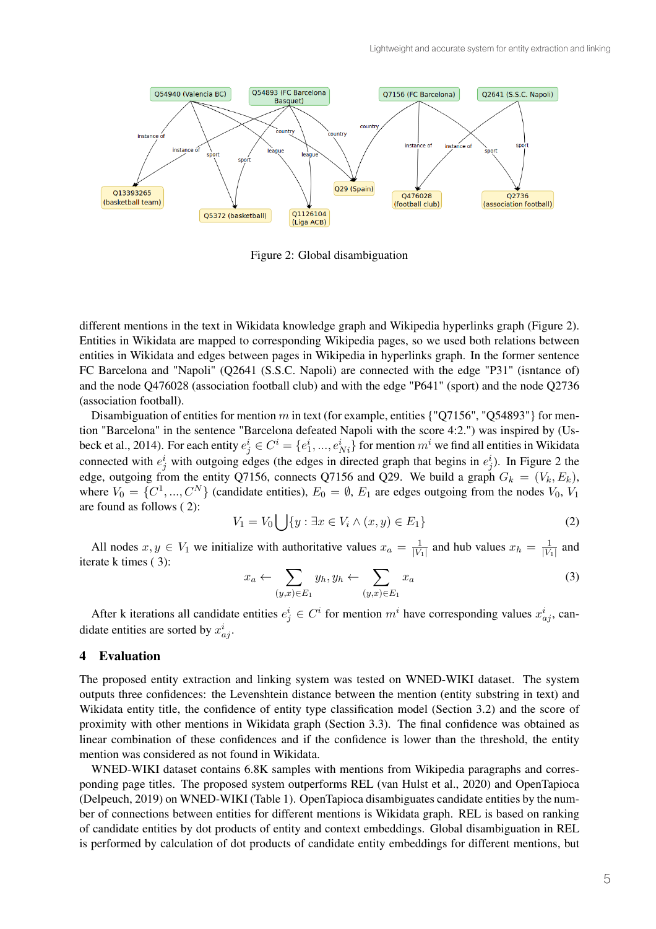

Figure 2: Global disambiguation

different mentions in the text in Wikidata knowledge graph and Wikipedia hyperlinks graph (Figure 2). Entities in Wikidata are mapped to corresponding Wikipedia pages, so we used both relations between entities in Wikidata and edges between pages in Wikipedia in hyperlinks graph. In the former sentence FC Barcelona and "Napoli" (Q2641 (S.S.C. Napoli) are connected with the edge "P31" (isntance of) and the node Q476028 (association football club) and with the edge "P641" (sport) and the node Q2736 (association football).

Disambiguation of entities for mention  $m$  in text (for example, entities {"Q7156", "Q54893"} for mention "Barcelona" in the sentence "Barcelona defeated Napoli with the score 4:2.") was inspired by (Usbeck et al., 2014). For each entity  $e^i_j \in C^i = \{e^i_1,...,e^i_{Ni}\}$  for mention  $m^i$  we find all entities in Wikidata connected with  $e_j^i$  with outgoing edges (the edges in directed graph that begins in  $e_j^i$ ). In Figure 2 the edge, outgoing from the entity Q7156, connects Q7156 and Q29. We build a graph  $G_k = (V_k, E_k)$ , where  $V_0 = \{C^1, ..., C^N\}$  (candidate entities),  $E_0 = \emptyset$ ,  $E_1$  are edges outgoing from the nodes  $V_0$ ,  $V_1$ are found as follows ( 2):

$$
V_1 = V_0 \bigcup \{ y : \exists x \in V_i \land (x, y) \in E_1 \}
$$
\n
$$
(2)
$$

All nodes  $x, y \in V_1$  we initialize with authoritative values  $x_a = \frac{1}{|V_1|}$  and hub values  $x_h = \frac{1}{|V_1|}$  and iterate k times ( 3):

$$
x_a \leftarrow \sum_{(y,x)\in E_1} y_h, y_h \leftarrow \sum_{(y,x)\in E_1} x_a \tag{3}
$$

After k iterations all candidate entities  $e_j^i \in C^i$  for mention  $m^i$  have corresponding values  $x_{aj}^i$ , candidate entities are sorted by  $x_{aj}^i$ .

#### 4 Evaluation

The proposed entity extraction and linking system was tested on WNED-WIKI dataset. The system outputs three confidences: the Levenshtein distance between the mention (entity substring in text) and Wikidata entity title, the confidence of entity type classification model (Section 3.2) and the score of proximity with other mentions in Wikidata graph (Section 3.3). The final confidence was obtained as linear combination of these confidences and if the confidence is lower than the threshold, the entity mention was considered as not found in Wikidata.

WNED-WIKI dataset contains 6.8K samples with mentions from Wikipedia paragraphs and corresponding page titles. The proposed system outperforms REL (van Hulst et al., 2020) and OpenTapioca (Delpeuch, 2019) on WNED-WIKI (Table 1). OpenTapioca disambiguates candidate entities by the number of connections between entities for different mentions is Wikidata graph. REL is based on ranking of candidate entities by dot products of entity and context embeddings. Global disambiguation in REL is performed by calculation of dot products of candidate entity embeddings for different mentions, but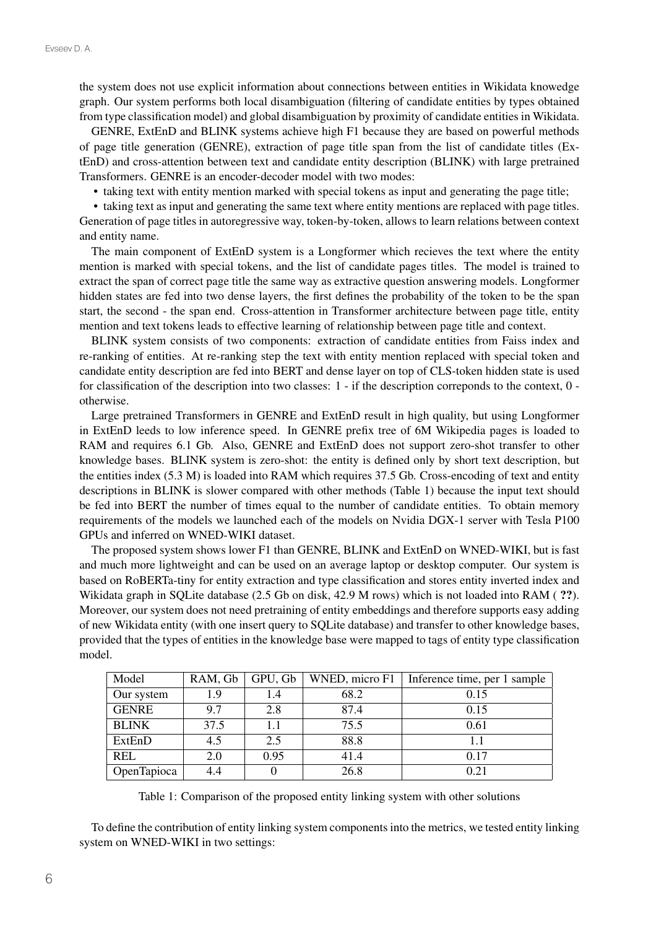the system does not use explicit information about connections between entities in Wikidata knowedge graph. Our system performs both local disambiguation (filtering of candidate entities by types obtained from type classification model) and global disambiguation by proximity of candidate entities in Wikidata.

GENRE, ExtEnD and BLINK systems achieve high F1 because they are based on powerful methods of page title generation (GENRE), extraction of page title span from the list of candidate titles (ExtEnD) and cross-attention between text and candidate entity description (BLINK) with large pretrained Transformers. GENRE is an encoder-decoder model with two modes:

• taking text with entity mention marked with special tokens as input and generating the page title;

• taking text as input and generating the same text where entity mentions are replaced with page titles. Generation of page titles in autoregressive way, token-by-token, allows to learn relations between context and entity name.

The main component of ExtEnD system is a Longformer which recieves the text where the entity mention is marked with special tokens, and the list of candidate pages titles. The model is trained to extract the span of correct page title the same way as extractive question answering models. Longformer hidden states are fed into two dense layers, the first defines the probability of the token to be the span start, the second - the span end. Cross-attention in Transformer architecture between page title, entity mention and text tokens leads to effective learning of relationship between page title and context.

BLINK system consists of two components: extraction of candidate entities from Faiss index and re-ranking of entities. At re-ranking step the text with entity mention replaced with special token and candidate entity description are fed into BERT and dense layer on top of CLS-token hidden state is used for classification of the description into two classes: 1 - if the description correponds to the context, 0 otherwise.

Large pretrained Transformers in GENRE and ExtEnD result in high quality, but using Longformer in ExtEnD leeds to low inference speed. In GENRE prefix tree of 6M Wikipedia pages is loaded to RAM and requires 6.1 Gb. Also, GENRE and ExtEnD does not support zero-shot transfer to other knowledge bases. BLINK system is zero-shot: the entity is defined only by short text description, but the entities index (5.3 M) is loaded into RAM which requires 37.5 Gb. Cross-encoding of text and entity descriptions in BLINK is slower compared with other methods (Table 1) because the input text should be fed into BERT the number of times equal to the number of candidate entities. To obtain memory requirements of the models we launched each of the models on Nvidia DGX-1 server with Tesla P100 GPUs and inferred on WNED-WIKI dataset.

The proposed system shows lower F1 than GENRE, BLINK and ExtEnD on WNED-WIKI, but is fast and much more lightweight and can be used on an average laptop or desktop computer. Our system is based on RoBERTa-tiny for entity extraction and type classification and stores entity inverted index and Wikidata graph in SQLite database (2.5 Gb on disk, 42.9 M rows) which is not loaded into RAM ( ??). Moreover, our system does not need pretraining of entity embeddings and therefore supports easy adding of new Wikidata entity (with one insert query to SQLite database) and transfer to other knowledge bases, provided that the types of entities in the knowledge base were mapped to tags of entity type classification model.

| Model        | RAM, Gb | GPU, Gb | WNED, micro F1 | Inference time, per 1 sample |
|--------------|---------|---------|----------------|------------------------------|
| Our system   | 1.9     | 1.4     | 68.2           | 0.15                         |
| <b>GENRE</b> | 9.7     | 2.8     | 87.4           | 0.15                         |
| <b>BLINK</b> | 37.5    | 1.1     | 75.5           | 0.61                         |
| ExtEnD       | 4.5     | 2.5     | 88.8           |                              |
| <b>REL</b>   | 2.0     | 0.95    | 41.4           | 0.17                         |
| OpenTapioca  | 4.4     |         | 26.8           | 0.21                         |

Table 1: Comparison of the proposed entity linking system with other solutions

To define the contribution of entity linking system components into the metrics, we tested entity linking system on WNED-WIKI in two settings: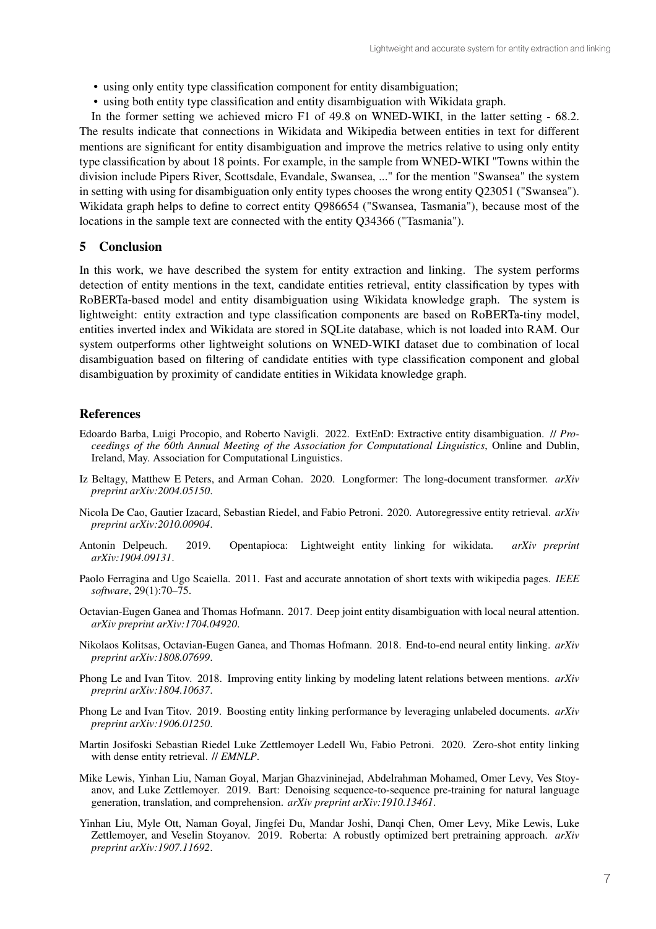- using only entity type classification component for entity disambiguation;
- using both entity type classification and entity disambiguation with Wikidata graph.

In the former setting we achieved micro F1 of 49.8 on WNED-WIKI, in the latter setting - 68.2. The results indicate that connections in Wikidata and Wikipedia between entities in text for different mentions are significant for entity disambiguation and improve the metrics relative to using only entity type classification by about 18 points. For example, in the sample from WNED-WIKI "Towns within the division include Pipers River, Scottsdale, Evandale, Swansea, ..." for the mention "Swansea" the system in setting with using for disambiguation only entity types chooses the wrong entity Q23051 ("Swansea"). Wikidata graph helps to define to correct entity Q986654 ("Swansea, Tasmania"), because most of the locations in the sample text are connected with the entity Q34366 ("Tasmania").

### 5 Conclusion

In this work, we have described the system for entity extraction and linking. The system performs detection of entity mentions in the text, candidate entities retrieval, entity classification by types with RoBERTa-based model and entity disambiguation using Wikidata knowledge graph. The system is lightweight: entity extraction and type classification components are based on RoBERTa-tiny model, entities inverted index and Wikidata are stored in SQLite database, which is not loaded into RAM. Our system outperforms other lightweight solutions on WNED-WIKI dataset due to combination of local disambiguation based on filtering of candidate entities with type classification component and global disambiguation by proximity of candidate entities in Wikidata knowledge graph.

### References

- Edoardo Barba, Luigi Procopio, and Roberto Navigli. 2022. ExtEnD: Extractive entity disambiguation. // *Proceedings of the 60th Annual Meeting of the Association for Computational Linguistics*, Online and Dublin, Ireland, May. Association for Computational Linguistics.
- Iz Beltagy, Matthew E Peters, and Arman Cohan. 2020. Longformer: The long-document transformer. *arXiv preprint arXiv:2004.05150*.
- Nicola De Cao, Gautier Izacard, Sebastian Riedel, and Fabio Petroni. 2020. Autoregressive entity retrieval. *arXiv preprint arXiv:2010.00904*.
- Antonin Delpeuch. 2019. Opentapioca: Lightweight entity linking for wikidata. *arXiv preprint arXiv:1904.09131*.
- Paolo Ferragina and Ugo Scaiella. 2011. Fast and accurate annotation of short texts with wikipedia pages. *IEEE software*, 29(1):70–75.
- Octavian-Eugen Ganea and Thomas Hofmann. 2017. Deep joint entity disambiguation with local neural attention. *arXiv preprint arXiv:1704.04920*.
- Nikolaos Kolitsas, Octavian-Eugen Ganea, and Thomas Hofmann. 2018. End-to-end neural entity linking. *arXiv preprint arXiv:1808.07699*.
- Phong Le and Ivan Titov. 2018. Improving entity linking by modeling latent relations between mentions. *arXiv preprint arXiv:1804.10637*.
- Phong Le and Ivan Titov. 2019. Boosting entity linking performance by leveraging unlabeled documents. *arXiv preprint arXiv:1906.01250*.
- Martin Josifoski Sebastian Riedel Luke Zettlemoyer Ledell Wu, Fabio Petroni. 2020. Zero-shot entity linking with dense entity retrieval. // *EMNLP*.
- Mike Lewis, Yinhan Liu, Naman Goyal, Marjan Ghazvininejad, Abdelrahman Mohamed, Omer Levy, Ves Stoyanov, and Luke Zettlemoyer. 2019. Bart: Denoising sequence-to-sequence pre-training for natural language generation, translation, and comprehension. *arXiv preprint arXiv:1910.13461*.
- Yinhan Liu, Myle Ott, Naman Goyal, Jingfei Du, Mandar Joshi, Danqi Chen, Omer Levy, Mike Lewis, Luke Zettlemoyer, and Veselin Stoyanov. 2019. Roberta: A robustly optimized bert pretraining approach. *arXiv preprint arXiv:1907.11692*.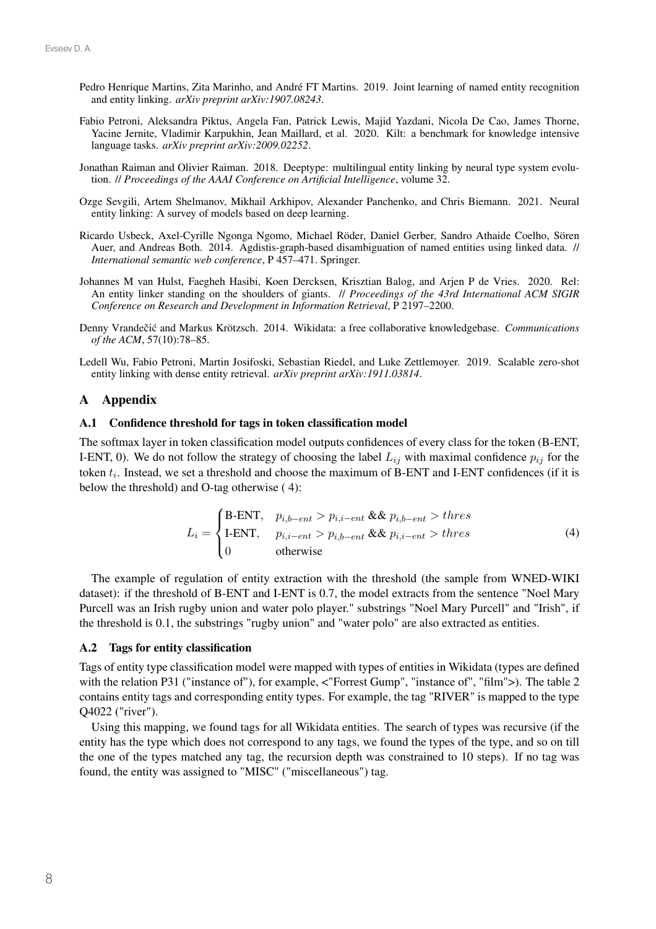- Pedro Henrique Martins, Zita Marinho, and André FT Martins. 2019. Joint learning of named entity recognition and entity linking. *arXiv preprint arXiv:1907.08243*.
- Fabio Petroni, Aleksandra Piktus, Angela Fan, Patrick Lewis, Majid Yazdani, Nicola De Cao, James Thorne, Yacine Jernite, Vladimir Karpukhin, Jean Maillard, et al. 2020. Kilt: a benchmark for knowledge intensive language tasks. *arXiv preprint arXiv:2009.02252*.
- Jonathan Raiman and Olivier Raiman. 2018. Deeptype: multilingual entity linking by neural type system evolution. // *Proceedings of the AAAI Conference on Artificial Intelligence*, volume 32.
- Ozge Sevgili, Artem Shelmanov, Mikhail Arkhipov, Alexander Panchenko, and Chris Biemann. 2021. Neural entity linking: A survey of models based on deep learning.
- Ricardo Usbeck, Axel-Cyrille Ngonga Ngomo, Michael Röder, Daniel Gerber, Sandro Athaide Coelho, Sören Auer, and Andreas Both. 2014. Agdistis-graph-based disambiguation of named entities using linked data. // *International semantic web conference*, P 457–471. Springer.
- Johannes M van Hulst, Faegheh Hasibi, Koen Dercksen, Krisztian Balog, and Arjen P de Vries. 2020. Rel: An entity linker standing on the shoulders of giants. // *Proceedings of the 43rd International ACM SIGIR Conference on Research and Development in Information Retrieval*, P 2197–2200.
- Denny Vrandečić and Markus Krötzsch. 2014. Wikidata: a free collaborative knowledgebase. *Communications of the ACM*, 57(10):78–85.
- Ledell Wu, Fabio Petroni, Martin Josifoski, Sebastian Riedel, and Luke Zettlemoyer. 2019. Scalable zero-shot entity linking with dense entity retrieval. *arXiv preprint arXiv:1911.03814*.

# A Appendix

#### A.1 Confidence threshold for tags in token classification model

The softmax layer in token classification model outputs confidences of every class for the token (B-ENT, I-ENT, 0). We do not follow the strategy of choosing the label  $L_{ij}$  with maximal confidence  $p_{ij}$  for the token  $t_i$ . Instead, we set a threshold and choose the maximum of B-ENT and I-ENT confidences (if it is below the threshold) and O-tag otherwise ( 4):

$$
L_i = \begin{cases} \text{B-ENT}, & p_{i,b-ent} > p_{i,i-ent} \& p_{i,b-ent} > thres\\ \text{I-ENT}, & p_{i,i-ent} > p_{i,b-ent} \& p_{i,i-ent} > thres\\ 0 & \text{otherwise} \end{cases} \tag{4}
$$

The example of regulation of entity extraction with the threshold (the sample from WNED-WIKI dataset): if the threshold of B-ENT and I-ENT is 0.7, the model extracts from the sentence "Noel Mary Purcell was an Irish rugby union and water polo player." substrings "Noel Mary Purcell" and "Irish", if the threshold is 0.1, the substrings "rugby union" and "water polo" are also extracted as entities.

# A.2 Tags for entity classification

Tags of entity type classification model were mapped with types of entities in Wikidata (types are defined with the relation P31 ("instance of"), for example,  $\langle$ "Forrest Gump", "instance of", "film">). The table 2 contains entity tags and corresponding entity types. For example, the tag "RIVER" is mapped to the type Q4022 ("river").

Using this mapping, we found tags for all Wikidata entities. The search of types was recursive (if the entity has the type which does not correspond to any tags, we found the types of the type, and so on till the one of the types matched any tag, the recursion depth was constrained to 10 steps). If no tag was found, the entity was assigned to "MISC" ("miscellaneous") tag.